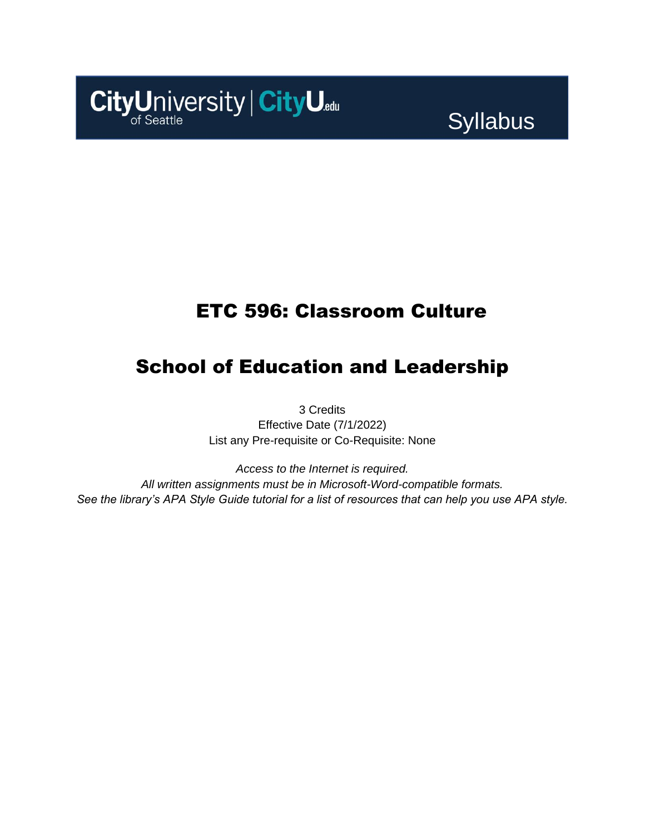# CityUniversity | CityU.edu

# **Syllabus**

# ETC 596: Classroom Culture

# School of Education and Leadership

3 Credits Effective Date (7/1/2022) List any Pre-requisite or Co-Requisite: None

*Access to the Internet is required. All written assignments must be in Microsoft-Word-compatible formats. See the library's APA Style Guide tutorial for a list of resources that can help you use APA style.*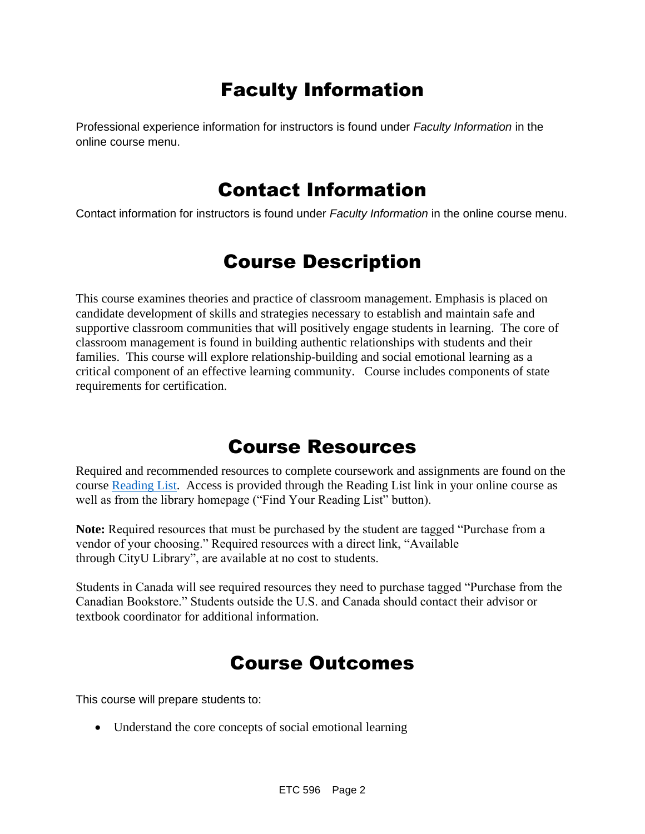# Faculty Information

Professional experience information for instructors is found under *Faculty Information* in the online course menu.

## Contact Information

Contact information for instructors is found under *Faculty Information* in the online course menu.

# Course Description

This course examines theories and practice of classroom management. Emphasis is placed on candidate development of skills and strategies necessary to establish and maintain safe and supportive classroom communities that will positively engage students in learning. The core of classroom management is found in building authentic relationships with students and their families. This course will explore relationship-building and social emotional learning as a critical component of an effective learning community. Course includes components of state requirements for certification.

## Course Resources

Required and recommended resources to complete coursework and assignments are found on the course [Reading List.](https://nam11.safelinks.protection.outlook.com/?url=https%3A%2F%2Fcityu.alma.exlibrisgroup.com%2Fleganto%2Flogin%3Fauth%3DSAML&data=04%7C01%7Csusan_gray%40cityu.edu%7C994805af5758475be3c608d984716f4b%7Cb3fa96d9f5154662add763d854e39e63%7C1%7C0%7C637686445618676616%7CUnknown%7CTWFpbGZsb3d8eyJWIjoiMC4wLjAwMDAiLCJQIjoiV2luMzIiLCJBTiI6Ik1haWwiLCJXVCI6Mn0%3D%7C1000&sdata=lI8Qg4DkF5hJ2BPk1%2FSu8BMs943AxX6dTXuEUyBoNgs%3D&reserved=0) Access is provided through the Reading List link in your online course as well as from the library homepage ("Find Your Reading List" button).

**Note:** Required resources that must be purchased by the student are tagged "Purchase from a vendor of your choosing." Required resources with a direct link, "Available through CityU Library", are available at no cost to students.

Students in Canada will see required resources they need to purchase tagged "Purchase from the Canadian Bookstore." Students outside the U.S. and Canada should contact their advisor or textbook coordinator for additional information.

# Course Outcomes

This course will prepare students to:

• Understand the core concepts of social emotional learning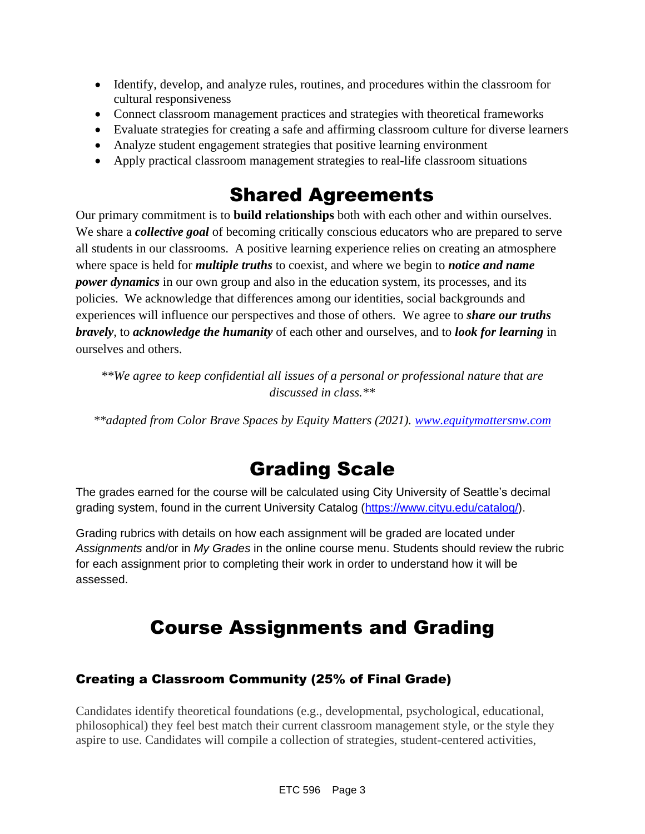- Identify, develop, and analyze rules, routines, and procedures within the classroom for cultural responsiveness
- Connect classroom management practices and strategies with theoretical frameworks
- Evaluate strategies for creating a safe and affirming classroom culture for diverse learners
- Analyze student engagement strategies that positive learning environment
- Apply practical classroom management strategies to real-life classroom situations

# Shared Agreements

Our primary commitment is to **build relationships** both with each other and within ourselves. We share a *collective goal* of becoming critically conscious educators who are prepared to serve all students in our classrooms. A positive learning experience relies on creating an atmosphere where space is held for *multiple truths* to coexist, and where we begin to *notice and name power dynamics* in our own group and also in the education system, its processes, and its policies. We acknowledge that differences among our identities, social backgrounds and experiences will influence our perspectives and those of others*.* We agree to *share our truths bravely*, to *acknowledge the humanity* of each other and ourselves, and to *look for learning* in ourselves and others.

*\*\*We agree to keep confidential all issues of a personal or professional nature that are discussed in class.\*\**

*\*\*adapted from Color Brave Spaces by Equity Matters (2021). [www.equitymattersnw.com](http://www.equitymattersnw.com/)*

# Grading Scale

The grades earned for the course will be calculated using City University of Seattle's decimal grading system, found in the current University Catalog [\(https://www.cityu.edu/catalog/\)](https://www.cityu.edu/catalog/).

Grading rubrics with details on how each assignment will be graded are located under *Assignments* and/or in *My Grades* in the online course menu. Students should review the rubric for each assignment prior to completing their work in order to understand how it will be assessed.

# Course Assignments and Grading

## Creating a Classroom Community (25% of Final Grade)

Candidates identify theoretical foundations (e.g., developmental, psychological, educational, philosophical) they feel best match their current classroom management style, or the style they aspire to use. Candidates will compile a collection of strategies, student-centered activities,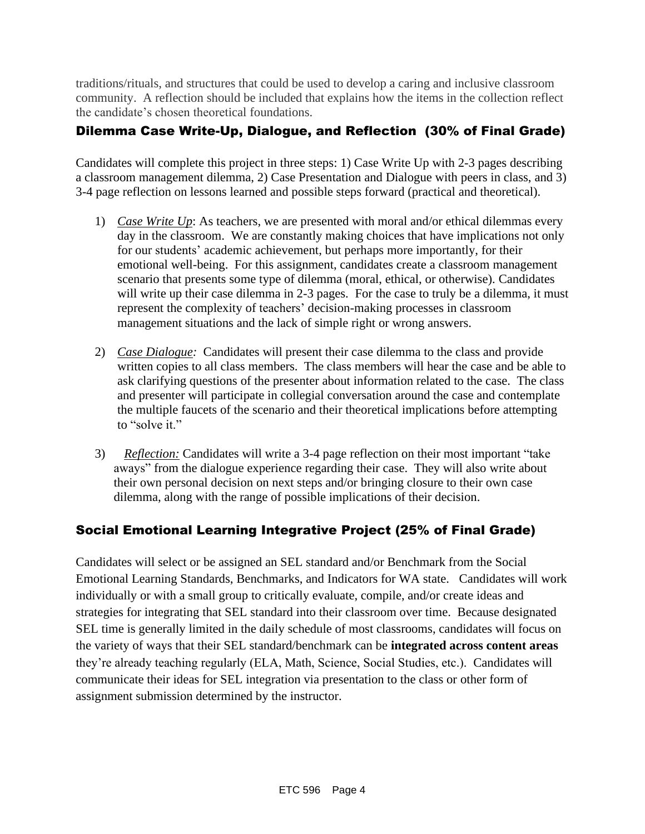traditions/rituals, and structures that could be used to develop a caring and inclusive classroom community. A reflection should be included that explains how the items in the collection reflect the candidate's chosen theoretical foundations.

## Dilemma Case Write-Up, Dialogue, and Reflection (30% of Final Grade)

Candidates will complete this project in three steps: 1) Case Write Up with 2-3 pages describing a classroom management dilemma, 2) Case Presentation and Dialogue with peers in class, and 3) 3-4 page reflection on lessons learned and possible steps forward (practical and theoretical).

- 1) *Case Write Up*: As teachers, we are presented with moral and/or ethical dilemmas every day in the classroom. We are constantly making choices that have implications not only for our students' academic achievement, but perhaps more importantly, for their emotional well-being. For this assignment, candidates create a classroom management scenario that presents some type of dilemma (moral, ethical, or otherwise). Candidates will write up their case dilemma in 2-3 pages. For the case to truly be a dilemma, it must represent the complexity of teachers' decision-making processes in classroom management situations and the lack of simple right or wrong answers.
- 2) *Case Dialogue:* Candidates will present their case dilemma to the class and provide written copies to all class members. The class members will hear the case and be able to ask clarifying questions of the presenter about information related to the case. The class and presenter will participate in collegial conversation around the case and contemplate the multiple faucets of the scenario and their theoretical implications before attempting to "solve it."
- 3) *Reflection:* Candidates will write a 3-4 page reflection on their most important "take aways" from the dialogue experience regarding their case. They will also write about their own personal decision on next steps and/or bringing closure to their own case dilemma, along with the range of possible implications of their decision.

## Social Emotional Learning Integrative Project (25% of Final Grade)

Candidates will select or be assigned an SEL standard and/or Benchmark from the Social Emotional Learning Standards, Benchmarks, and Indicators for WA state. Candidates will work individually or with a small group to critically evaluate, compile, and/or create ideas and strategies for integrating that SEL standard into their classroom over time. Because designated SEL time is generally limited in the daily schedule of most classrooms, candidates will focus on the variety of ways that their SEL standard/benchmark can be **integrated across content areas** they're already teaching regularly (ELA, Math, Science, Social Studies, etc.). Candidates will communicate their ideas for SEL integration via presentation to the class or other form of assignment submission determined by the instructor.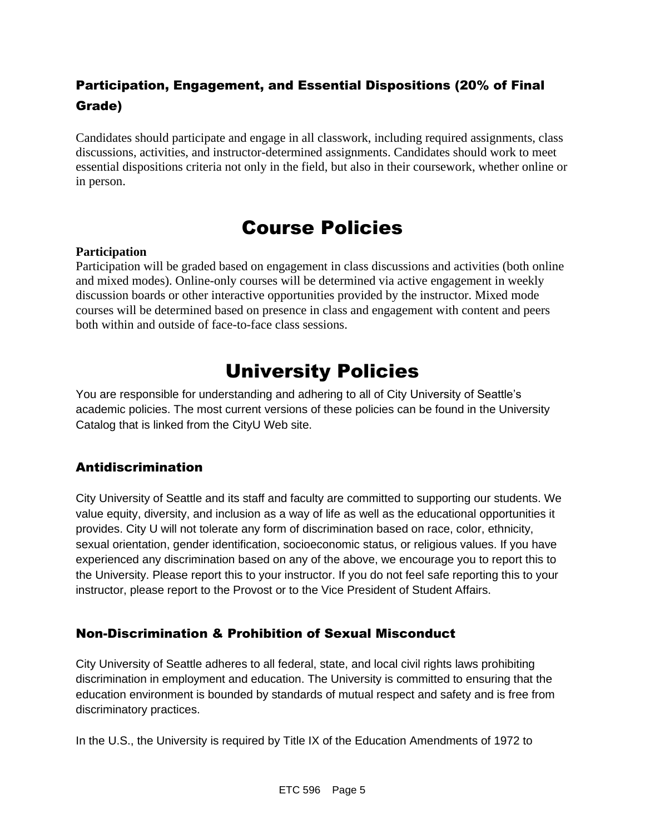## Participation, Engagement, and Essential Dispositions (20% of Final Grade)

Candidates should participate and engage in all classwork, including required assignments, class discussions, activities, and instructor-determined assignments. Candidates should work to meet essential dispositions criteria not only in the field, but also in their coursework, whether online or in person.

# Course Policies

## **Participation**

Participation will be graded based on engagement in class discussions and activities (both online and mixed modes). Online-only courses will be determined via active engagement in weekly discussion boards or other interactive opportunities provided by the instructor. Mixed mode courses will be determined based on presence in class and engagement with content and peers both within and outside of face-to-face class sessions.

# University Policies

You are responsible for understanding and adhering to all of City University of Seattle's academic policies. The most current versions of these policies can be found in the University Catalog that is linked from the CityU Web site.

## Antidiscrimination

City University of Seattle and its staff and faculty are committed to supporting our students. We value equity, diversity, and inclusion as a way of life as well as the educational opportunities it provides. City U will not tolerate any form of discrimination based on race, color, ethnicity, sexual orientation, gender identification, socioeconomic status, or religious values. If you have experienced any discrimination based on any of the above, we encourage you to report this to the University. Please report this to your instructor. If you do not feel safe reporting this to your instructor, please report to the Provost or to the Vice President of Student Affairs.

## Non-Discrimination & Prohibition of Sexual Misconduct

City University of Seattle adheres to all federal, state, and local civil rights laws prohibiting discrimination in employment and education. The University is committed to ensuring that the education environment is bounded by standards of mutual respect and safety and is free from discriminatory practices.

In the U.S., the University is required by Title IX of the Education Amendments of 1972 to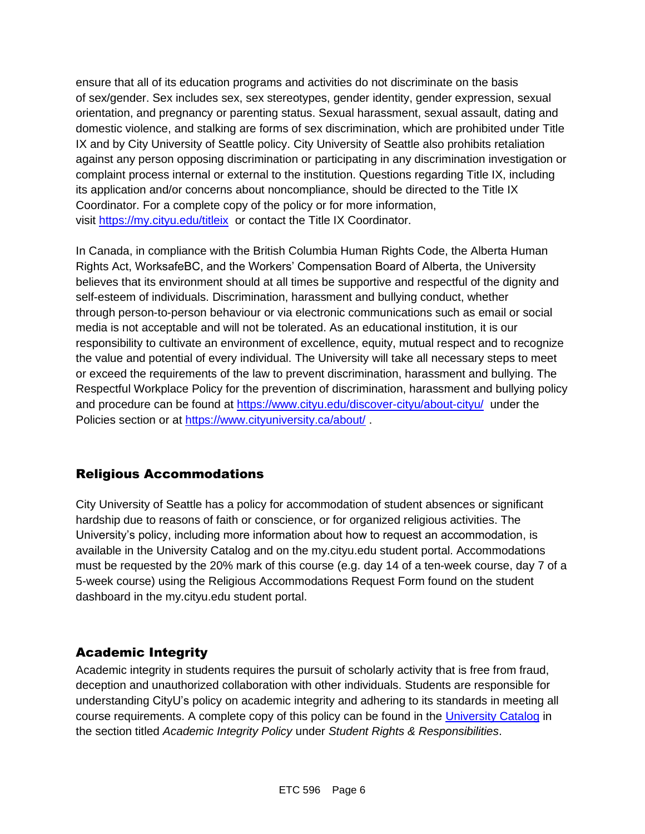ensure that all of its education programs and activities do not discriminate on the basis of sex/gender. Sex includes sex, sex stereotypes, gender identity, gender expression, sexual orientation, and pregnancy or parenting status. Sexual harassment, sexual assault, dating and domestic violence, and stalking are forms of sex discrimination, which are prohibited under Title IX and by City University of Seattle policy. City University of Seattle also prohibits retaliation against any person opposing discrimination or participating in any discrimination investigation or complaint process internal or external to the institution. Questions regarding Title IX, including its application and/or concerns about noncompliance, should be directed to the Title IX Coordinator. For a complete copy of the policy or for more information, visit [https://my.cityu.edu/titleix](https://nam11.safelinks.protection.outlook.com/?url=https%3A%2F%2Fmy.cityu.edu%2Ftitleix&data=04%7C01%7Claker%40cityu.edu%7Cbc558c70c10340dbaa2408d9172365a0%7Cb3fa96d9f5154662add763d854e39e63%7C1%7C0%7C637566263054321964%7CUnknown%7CTWFpbGZsb3d8eyJWIjoiMC4wLjAwMDAiLCJQIjoiV2luMzIiLCJBTiI6Ik1haWwiLCJXVCI6Mn0%3D%7C1000&sdata=GX0hgfxN2OMKFTKjD04gqvwwyU44mfnCmEdCtsEzab0%3D&reserved=0) or contact the Title IX Coordinator.

In Canada, in compliance with the British Columbia Human Rights Code, the Alberta Human Rights Act, WorksafeBC, and the Workers' Compensation Board of Alberta, the University believes that its environment should at all times be supportive and respectful of the dignity and self-esteem of individuals. Discrimination, harassment and bullying conduct, whether through person-to-person behaviour or via electronic communications such as email or social media is not acceptable and will not be tolerated. As an educational institution, it is our responsibility to cultivate an environment of excellence, equity, mutual respect and to recognize the value and potential of every individual. The University will take all necessary steps to meet or exceed the requirements of the law to prevent discrimination, harassment and bullying. The Respectful Workplace Policy for the prevention of discrimination, harassment and bullying policy and procedure can be found at [https://www.cityu.edu/discover-cityu/about-cityu/](https://nam11.safelinks.protection.outlook.com/?url=https%3A%2F%2Fwww.cityu.edu%2Fdiscover-cityu%2Fabout-cityu%2F&data=04%7C01%7Claker%40cityu.edu%7Cbc558c70c10340dbaa2408d9172365a0%7Cb3fa96d9f5154662add763d854e39e63%7C1%7C0%7C637566263054331957%7CUnknown%7CTWFpbGZsb3d8eyJWIjoiMC4wLjAwMDAiLCJQIjoiV2luMzIiLCJBTiI6Ik1haWwiLCJXVCI6Mn0%3D%7C1000&sdata=7Q6QoqwuNLfeOJPewViWSeIwRIBy%2BoqDOiP8xSHYm78%3D&reserved=0) under the Policies section or at [https://www.cityuniversity.ca/about/](https://nam11.safelinks.protection.outlook.com/?url=https%3A%2F%2Fwww.cityuniversity.ca%2Fabout%2F&data=04%7C01%7Claker%40cityu.edu%7Cbc558c70c10340dbaa2408d9172365a0%7Cb3fa96d9f5154662add763d854e39e63%7C1%7C0%7C637566263054331957%7CUnknown%7CTWFpbGZsb3d8eyJWIjoiMC4wLjAwMDAiLCJQIjoiV2luMzIiLCJBTiI6Ik1haWwiLCJXVCI6Mn0%3D%7C1000&sdata=TX6bXEiU0CC6hC1mrTnKpuJywbR06qAj7RMu8QC4RUA%3D&reserved=0) .

## Religious Accommodations

City University of Seattle has a policy for accommodation of student absences or significant hardship due to reasons of faith or conscience, or for organized religious activities. The University's policy, including more information about how to request an accommodation, is available in the University Catalog and on the my.cityu.edu student portal. Accommodations must be requested by the 20% mark of this course (e.g. day 14 of a ten-week course, day 7 of a 5-week course) using the Religious Accommodations Request Form found on the student dashboard in the my.cityu.edu student portal.

## Academic Integrity

Academic integrity in students requires the pursuit of scholarly activity that is free from fraud, deception and unauthorized collaboration with other individuals. Students are responsible for understanding CityU's policy on academic integrity and adhering to its standards in meeting all course requirements. A complete copy of this policy can be found in the [University Catalog](https://nam11.safelinks.protection.outlook.com/?url=http%3A%2F%2Fwww.cityu.edu%2Fcatalog%2F&data=04%7C01%7Claker%40cityu.edu%7Cbc558c70c10340dbaa2408d9172365a0%7Cb3fa96d9f5154662add763d854e39e63%7C1%7C0%7C637566263054341952%7CUnknown%7CTWFpbGZsb3d8eyJWIjoiMC4wLjAwMDAiLCJQIjoiV2luMzIiLCJBTiI6Ik1haWwiLCJXVCI6Mn0%3D%7C1000&sdata=aL6fsSyLtVzJgdrlE9PtZXb%2F3H6wCdrvPcw4zOoEYTI%3D&reserved=0) in the section titled *Academic Integrity Policy* under *Student Rights & Responsibilities*.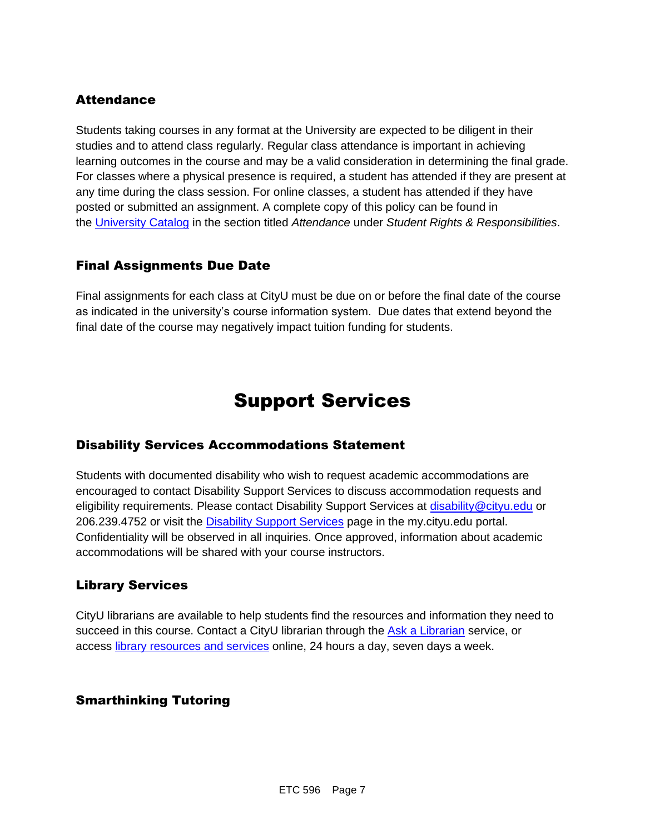## **Attendance**

Students taking courses in any format at the University are expected to be diligent in their studies and to attend class regularly. Regular class attendance is important in achieving learning outcomes in the course and may be a valid consideration in determining the final grade. For classes where a physical presence is required, a student has attended if they are present at any time during the class session. For online classes, a student has attended if they have posted or submitted an assignment. A complete copy of this policy can be found in the [University Catalog](https://nam11.safelinks.protection.outlook.com/?url=http%3A%2F%2Fwww.cityu.edu%2Fcatalog%2F&data=04%7C01%7Claker%40cityu.edu%7Cbc558c70c10340dbaa2408d9172365a0%7Cb3fa96d9f5154662add763d854e39e63%7C1%7C0%7C637566263054341952%7CUnknown%7CTWFpbGZsb3d8eyJWIjoiMC4wLjAwMDAiLCJQIjoiV2luMzIiLCJBTiI6Ik1haWwiLCJXVCI6Mn0%3D%7C1000&sdata=aL6fsSyLtVzJgdrlE9PtZXb%2F3H6wCdrvPcw4zOoEYTI%3D&reserved=0) in the section titled *Attendance* under *Student Rights & Responsibilities*.

## Final Assignments Due Date

Final assignments for each class at CityU must be due on or before the final date of the course as indicated in the university's course information system. Due dates that extend beyond the final date of the course may negatively impact tuition funding for students.

## Support Services

## Disability Services Accommodations Statement

Students with documented disability who wish to request academic accommodations are encouraged to contact Disability Support Services to discuss accommodation requests and eligibility requirements. Please contact Disability Support Services at [disability@cityu.edu](mailto:disability@cityu.edu) or 206.239.4752 or visit the [Disability Support Services](https://nam11.safelinks.protection.outlook.com/?url=https%3A%2F%2Fmy.cityu.edu%2Fdepartment%2Fdisability-support-services%2F&data=04%7C01%7Claker%40cityu.edu%7Cbc558c70c10340dbaa2408d9172365a0%7Cb3fa96d9f5154662add763d854e39e63%7C1%7C0%7C637566263054351946%7CUnknown%7CTWFpbGZsb3d8eyJWIjoiMC4wLjAwMDAiLCJQIjoiV2luMzIiLCJBTiI6Ik1haWwiLCJXVCI6Mn0%3D%7C1000&sdata=e%2FOzbhqrB5SP38rzkwNSwviN3V%2Fv%2BsJNtdettuKSolw%3D&reserved=0) page in the my.cityu.edu portal. Confidentiality will be observed in all inquiries. Once approved, information about academic accommodations will be shared with your course instructors.

## Library Services

CityU librarians are available to help students find the resources and information they need to succeed in this course. Contact a CityU librarian through the [Ask a Librarian](https://nam11.safelinks.protection.outlook.com/?url=http%3A%2F%2Flibrary.cityu.edu%2Fask-a-librarian%2F&data=04%7C01%7Claker%40cityu.edu%7Cbc558c70c10340dbaa2408d9172365a0%7Cb3fa96d9f5154662add763d854e39e63%7C1%7C0%7C637566263054351946%7CUnknown%7CTWFpbGZsb3d8eyJWIjoiMC4wLjAwMDAiLCJQIjoiV2luMzIiLCJBTiI6Ik1haWwiLCJXVCI6Mn0%3D%7C1000&sdata=N%2Fk3bR2W%2BVUXK4b%2BZd83weGqJbtI4y9O3CdOuOW7%2BiA%3D&reserved=0) service, or access [library resources and services](https://nam11.safelinks.protection.outlook.com/?url=http%3A%2F%2Flibrary.cityu.edu%2F&data=04%7C01%7Claker%40cityu.edu%7Cbc558c70c10340dbaa2408d9172365a0%7Cb3fa96d9f5154662add763d854e39e63%7C1%7C0%7C637566263054361941%7CUnknown%7CTWFpbGZsb3d8eyJWIjoiMC4wLjAwMDAiLCJQIjoiV2luMzIiLCJBTiI6Ik1haWwiLCJXVCI6Mn0%3D%7C1000&sdata=4K7GoPDJosgIt0XDdVisT%2BGn6DZa5bSz0lhZSyjH7kU%3D&reserved=0) online, 24 hours a day, seven days a week.

## Smarthinking Tutoring